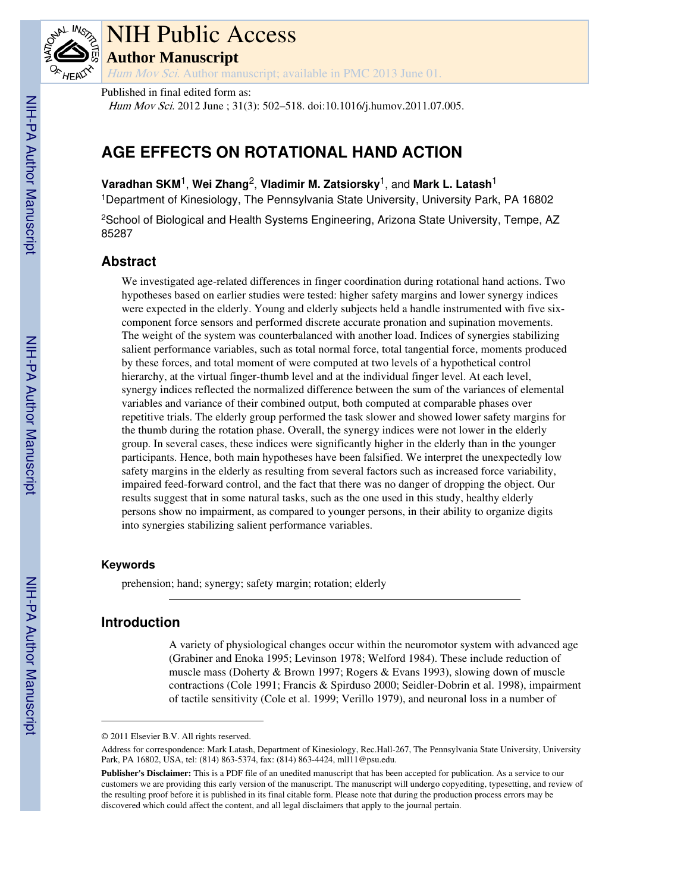

# NIH Public Access

**Author Manuscript**

Hum Mov Sci. Author manuscript; available in PMC 2013 June 01.

Published in final edited form as:

Hum Mov Sci. 2012 June ; 31(3): 502-518. doi:10.1016/j.humov.2011.07.005.

## **AGE EFFECTS ON ROTATIONAL HAND ACTION**

**Varadhan SKM**1, **Wei Zhang**2, **Vladimir M. Zatsiorsky**1, and **Mark L. Latash**<sup>1</sup> <sup>1</sup>Department of Kinesiology, The Pennsylvania State University, University Park, PA 16802

<sup>2</sup>School of Biological and Health Systems Engineering, Arizona State University, Tempe, AZ 85287

## **Abstract**

We investigated age-related differences in finger coordination during rotational hand actions. Two hypotheses based on earlier studies were tested: higher safety margins and lower synergy indices were expected in the elderly. Young and elderly subjects held a handle instrumented with five sixcomponent force sensors and performed discrete accurate pronation and supination movements. The weight of the system was counterbalanced with another load. Indices of synergies stabilizing salient performance variables, such as total normal force, total tangential force, moments produced by these forces, and total moment of were computed at two levels of a hypothetical control hierarchy, at the virtual finger-thumb level and at the individual finger level. At each level, synergy indices reflected the normalized difference between the sum of the variances of elemental variables and variance of their combined output, both computed at comparable phases over repetitive trials. The elderly group performed the task slower and showed lower safety margins for the thumb during the rotation phase. Overall, the synergy indices were not lower in the elderly group. In several cases, these indices were significantly higher in the elderly than in the younger participants. Hence, both main hypotheses have been falsified. We interpret the unexpectedly low safety margins in the elderly as resulting from several factors such as increased force variability, impaired feed-forward control, and the fact that there was no danger of dropping the object. Our results suggest that in some natural tasks, such as the one used in this study, healthy elderly persons show no impairment, as compared to younger persons, in their ability to organize digits into synergies stabilizing salient performance variables.

## **Keywords**

prehension; hand; synergy; safety margin; rotation; elderly

## **Introduction**

A variety of physiological changes occur within the neuromotor system with advanced age (Grabiner and Enoka 1995; Levinson 1978; Welford 1984). These include reduction of muscle mass (Doherty & Brown 1997; Rogers & Evans 1993), slowing down of muscle contractions (Cole 1991; Francis & Spirduso 2000; Seidler-Dobrin et al. 1998), impairment of tactile sensitivity (Cole et al. 1999; Verillo 1979), and neuronal loss in a number of

<sup>© 2011</sup> Elsevier B.V. All rights reserved.

Address for correspondence: Mark Latash, Department of Kinesiology, Rec.Hall-267, The Pennsylvania State University, University Park, PA 16802, USA, tel: (814) 863-5374, fax: (814) 863-4424, mll11@psu.edu.

**Publisher's Disclaimer:** This is a PDF file of an unedited manuscript that has been accepted for publication. As a service to our customers we are providing this early version of the manuscript. The manuscript will undergo copyediting, typesetting, and review of the resulting proof before it is published in its final citable form. Please note that during the production process errors may be discovered which could affect the content, and all legal disclaimers that apply to the journal pertain.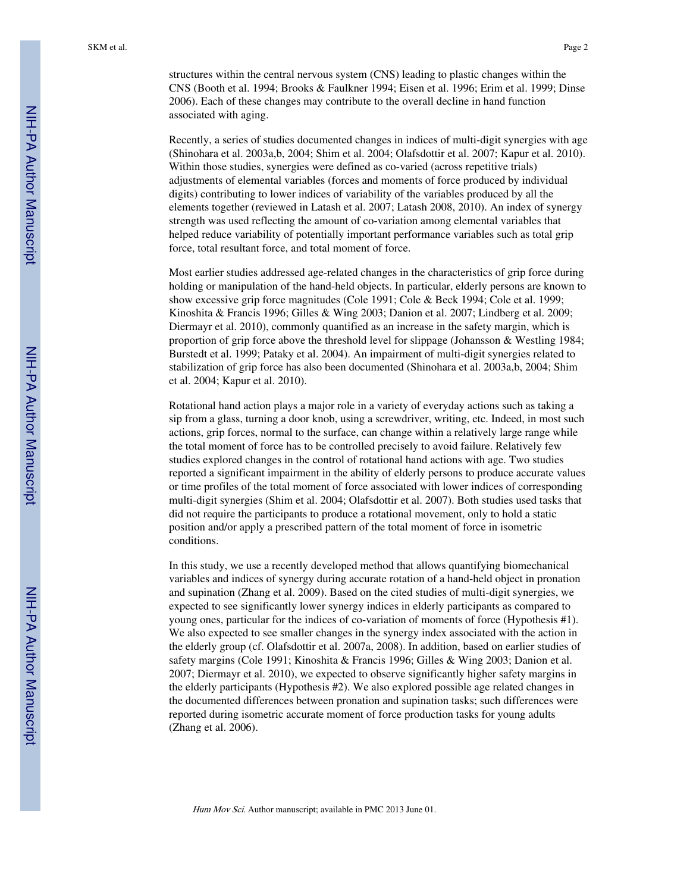structures within the central nervous system (CNS) leading to plastic changes within the CNS (Booth et al. 1994; Brooks & Faulkner 1994; Eisen et al. 1996; Erim et al. 1999; Dinse 2006). Each of these changes may contribute to the overall decline in hand function associated with aging.

Recently, a series of studies documented changes in indices of multi-digit synergies with age (Shinohara et al. 2003a,b, 2004; Shim et al. 2004; Olafsdottir et al. 2007; Kapur et al. 2010). Within those studies, synergies were defined as co-varied (across repetitive trials) adjustments of elemental variables (forces and moments of force produced by individual digits) contributing to lower indices of variability of the variables produced by all the elements together (reviewed in Latash et al. 2007; Latash 2008, 2010). An index of synergy strength was used reflecting the amount of co-variation among elemental variables that helped reduce variability of potentially important performance variables such as total grip force, total resultant force, and total moment of force.

Most earlier studies addressed age-related changes in the characteristics of grip force during holding or manipulation of the hand-held objects. In particular, elderly persons are known to show excessive grip force magnitudes (Cole 1991; Cole & Beck 1994; Cole et al. 1999; Kinoshita & Francis 1996; Gilles & Wing 2003; Danion et al. 2007; Lindberg et al. 2009; Diermayr et al. 2010), commonly quantified as an increase in the safety margin, which is proportion of grip force above the threshold level for slippage (Johansson & Westling 1984; Burstedt et al. 1999; Pataky et al. 2004). An impairment of multi-digit synergies related to stabilization of grip force has also been documented (Shinohara et al. 2003a,b, 2004; Shim et al. 2004; Kapur et al. 2010).

Rotational hand action plays a major role in a variety of everyday actions such as taking a sip from a glass, turning a door knob, using a screwdriver, writing, etc. Indeed, in most such actions, grip forces, normal to the surface, can change within a relatively large range while the total moment of force has to be controlled precisely to avoid failure. Relatively few studies explored changes in the control of rotational hand actions with age. Two studies reported a significant impairment in the ability of elderly persons to produce accurate values or time profiles of the total moment of force associated with lower indices of corresponding multi-digit synergies (Shim et al. 2004; Olafsdottir et al. 2007). Both studies used tasks that did not require the participants to produce a rotational movement, only to hold a static position and/or apply a prescribed pattern of the total moment of force in isometric conditions.

In this study, we use a recently developed method that allows quantifying biomechanical variables and indices of synergy during accurate rotation of a hand-held object in pronation and supination (Zhang et al. 2009). Based on the cited studies of multi-digit synergies, we expected to see significantly lower synergy indices in elderly participants as compared to young ones, particular for the indices of co-variation of moments of force (Hypothesis #1). We also expected to see smaller changes in the synergy index associated with the action in the elderly group (cf. Olafsdottir et al. 2007a, 2008). In addition, based on earlier studies of safety margins (Cole 1991; Kinoshita & Francis 1996; Gilles & Wing 2003; Danion et al. 2007; Diermayr et al. 2010), we expected to observe significantly higher safety margins in the elderly participants (Hypothesis #2). We also explored possible age related changes in the documented differences between pronation and supination tasks; such differences were reported during isometric accurate moment of force production tasks for young adults (Zhang et al. 2006).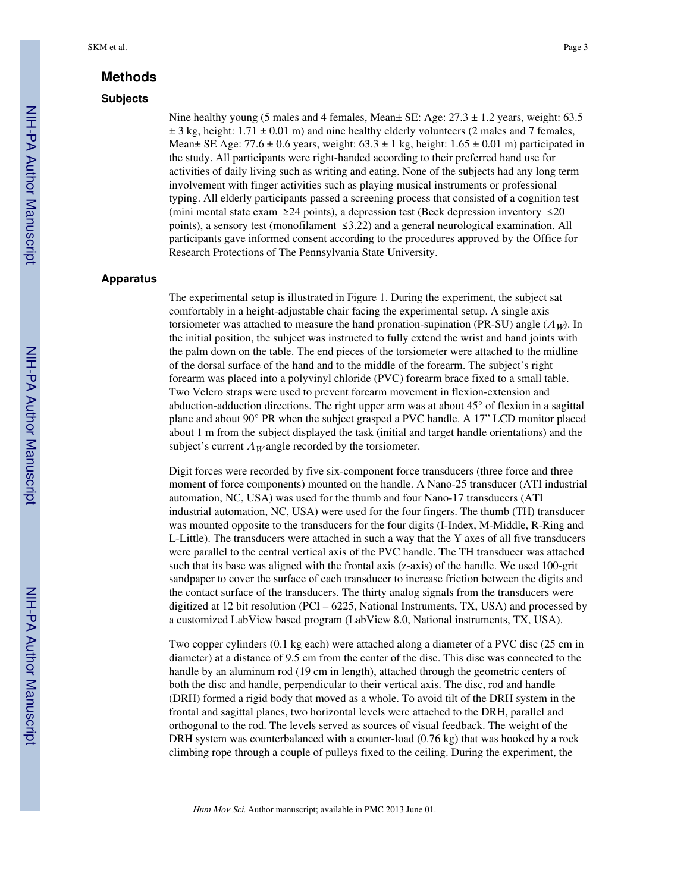## **Methods**

## **Subjects**

Nine healthy young (5 males and 4 females, Mean± SE: Age:  $27.3 \pm 1.2$  years, weight: 63.5  $\pm$  3 kg, height: 1.71  $\pm$  0.01 m) and nine healthy elderly volunteers (2 males and 7 females, Mean $\pm$  SE Age: 77.6  $\pm$  0.6 years, weight: 63.3  $\pm$  1 kg, height: 1.65  $\pm$  0.01 m) participated in the study. All participants were right-handed according to their preferred hand use for activities of daily living such as writing and eating. None of the subjects had any long term involvement with finger activities such as playing musical instruments or professional typing. All elderly participants passed a screening process that consisted of a cognition test (mini mental state exam  $\geq$  24 points), a depression test (Beck depression inventory  $\leq$  20 points), a sensory test (monofilament ≤ 3.22) and a general neurological examination. All participants gave informed consent according to the procedures approved by the Office for Research Protections of The Pennsylvania State University.

#### **Apparatus**

The experimental setup is illustrated in Figure 1. During the experiment, the subject sat comfortably in a height-adjustable chair facing the experimental setup. A single axis torsiometer was attached to measure the hand pronation-supination (PR-SU) angle  $(A<sub>W</sub>)$ . In the initial position, the subject was instructed to fully extend the wrist and hand joints with the palm down on the table. The end pieces of the torsiometer were attached to the midline of the dorsal surface of the hand and to the middle of the forearm. The subject's right forearm was placed into a polyvinyl chloride (PVC) forearm brace fixed to a small table. Two Velcro straps were used to prevent forearm movement in flexion-extension and abduction-adduction directions. The right upper arm was at about 45° of flexion in a sagittal plane and about 90° PR when the subject grasped a PVC handle. A 17" LCD monitor placed about 1 m from the subject displayed the task (initial and target handle orientations) and the subject's current  $A_W$  angle recorded by the torsiometer.

Digit forces were recorded by five six-component force transducers (three force and three moment of force components) mounted on the handle. A Nano-25 transducer (ATI industrial automation, NC, USA) was used for the thumb and four Nano-17 transducers (ATI industrial automation, NC, USA) were used for the four fingers. The thumb (TH) transducer was mounted opposite to the transducers for the four digits (I-Index, M-Middle, R-Ring and L-Little). The transducers were attached in such a way that the Y axes of all five transducers were parallel to the central vertical axis of the PVC handle. The TH transducer was attached such that its base was aligned with the frontal axis (z-axis) of the handle. We used 100-grit sandpaper to cover the surface of each transducer to increase friction between the digits and the contact surface of the transducers. The thirty analog signals from the transducers were digitized at 12 bit resolution (PCI – 6225, National Instruments, TX, USA) and processed by a customized LabView based program (LabView 8.0, National instruments, TX, USA).

Two copper cylinders (0.1 kg each) were attached along a diameter of a PVC disc (25 cm in diameter) at a distance of 9.5 cm from the center of the disc. This disc was connected to the handle by an aluminum rod (19 cm in length), attached through the geometric centers of both the disc and handle, perpendicular to their vertical axis. The disc, rod and handle (DRH) formed a rigid body that moved as a whole. To avoid tilt of the DRH system in the frontal and sagittal planes, two horizontal levels were attached to the DRH, parallel and orthogonal to the rod. The levels served as sources of visual feedback. The weight of the DRH system was counterbalanced with a counter-load (0.76 kg) that was hooked by a rock climbing rope through a couple of pulleys fixed to the ceiling. During the experiment, the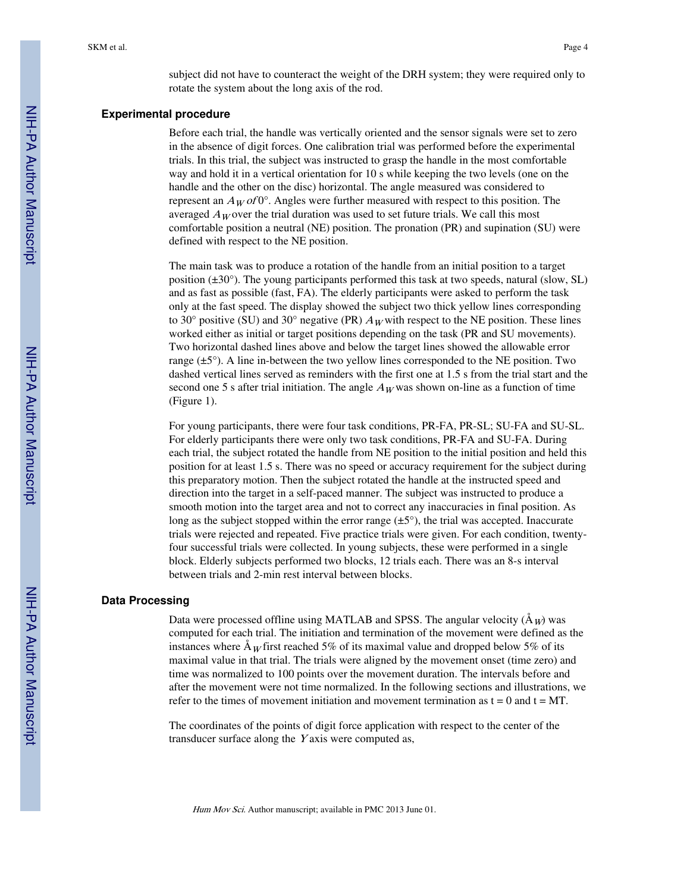subject did not have to counteract the weight of the DRH system; they were required only to rotate the system about the long axis of the rod.

## **Experimental procedure**

Before each trial, the handle was vertically oriented and the sensor signals were set to zero in the absence of digit forces. One calibration trial was performed before the experimental trials. In this trial, the subject was instructed to grasp the handle in the most comfortable way and hold it in a vertical orientation for 10 s while keeping the two levels (one on the handle and the other on the disc) horizontal. The angle measured was considered to represent an  $A_W$  of 0°. Angles were further measured with respect to this position. The averaged  $A_W$  over the trial duration was used to set future trials. We call this most comfortable position a neutral (NE) position. The pronation (PR) and supination (SU) were defined with respect to the NE position.

The main task was to produce a rotation of the handle from an initial position to a target position  $(\pm 30^{\circ})$ . The young participants performed this task at two speeds, natural (slow, SL) and as fast as possible (fast, FA). The elderly participants were asked to perform the task only at the fast speed. The display showed the subject two thick yellow lines corresponding to 30 $^{\circ}$  positive (SU) and 30 $^{\circ}$  negative (PR)  $A_W$  with respect to the NE position. These lines worked either as initial or target positions depending on the task (PR and SU movements). Two horizontal dashed lines above and below the target lines showed the allowable error range  $(\pm 5^{\circ})$ . A line in-between the two yellow lines corresponded to the NE position. Two dashed vertical lines served as reminders with the first one at 1.5 s from the trial start and the second one 5 s after trial initiation. The angle  $A_W$  was shown on-line as a function of time (Figure 1).

For young participants, there were four task conditions, PR-FA, PR-SL; SU-FA and SU-SL. For elderly participants there were only two task conditions, PR-FA and SU-FA. During each trial, the subject rotated the handle from NE position to the initial position and held this position for at least 1.5 s. There was no speed or accuracy requirement for the subject during this preparatory motion. Then the subject rotated the handle at the instructed speed and direction into the target in a self-paced manner. The subject was instructed to produce a smooth motion into the target area and not to correct any inaccuracies in final position. As long as the subject stopped within the error range  $(\pm 5^{\circ})$ , the trial was accepted. Inaccurate trials were rejected and repeated. Five practice trials were given. For each condition, twentyfour successful trials were collected. In young subjects, these were performed in a single block. Elderly subjects performed two blocks, 12 trials each. There was an 8-s interval between trials and 2-min rest interval between blocks.

## **Data Processing**

Data were processed offline using MATLAB and SPSS. The angular velocity ( $\mathring{A}_W$ ) was computed for each trial. The initiation and termination of the movement were defined as the instances where  $\tilde{A}_W$  first reached 5% of its maximal value and dropped below 5% of its maximal value in that trial. The trials were aligned by the movement onset (time zero) and time was normalized to 100 points over the movement duration. The intervals before and after the movement were not time normalized. In the following sections and illustrations, we refer to the times of movement initiation and movement termination as  $t = 0$  and  $t = MT$ .

The coordinates of the points of digit force application with respect to the center of the transducer surface along the Y axis were computed as,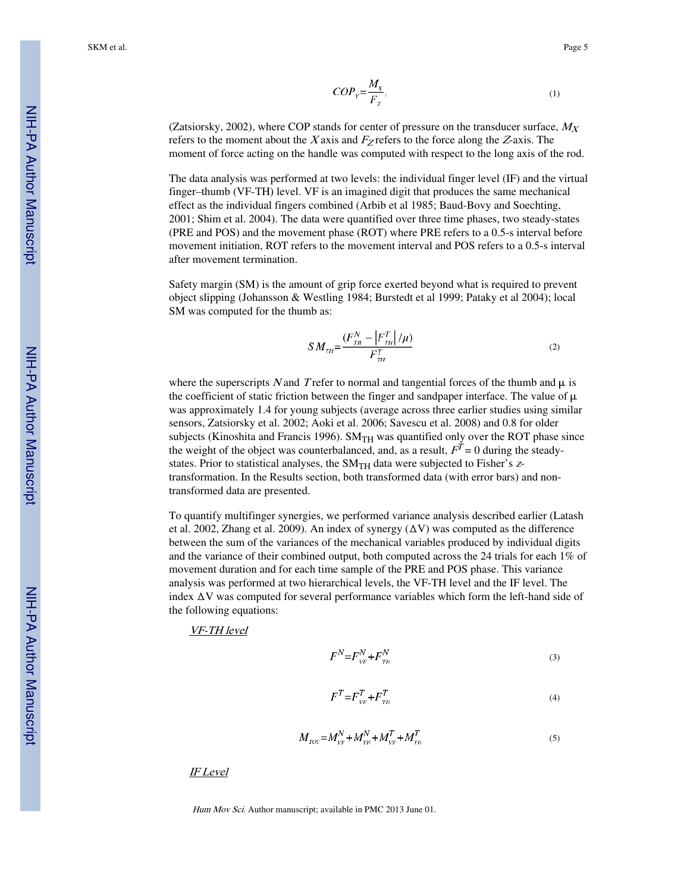$$
COP_{\gamma} = \frac{M_X}{F_Z},\tag{1}
$$

(Zatsiorsky, 2002), where COP stands for center of pressure on the transducer surface,  $M_X$ refers to the moment about the X axis and  $F_Z$  refers to the force along the Z-axis. The moment of force acting on the handle was computed with respect to the long axis of the rod.

The data analysis was performed at two levels: the individual finger level (IF) and the virtual finger–thumb (VF-TH) level. VF is an imagined digit that produces the same mechanical effect as the individual fingers combined (Arbib et al 1985; Baud-Bovy and Soechting, 2001; Shim et al. 2004). The data were quantified over three time phases, two steady-states (PRE and POS) and the movement phase (ROT) where PRE refers to a 0.5-s interval before movement initiation, ROT refers to the movement interval and POS refers to a 0.5-s interval after movement termination.

Safety margin (SM) is the amount of grip force exerted beyond what is required to prevent object slipping (Johansson & Westling 1984; Burstedt et al 1999; Pataky et al 2004); local SM was computed for the thumb as:

$$
S M_{\tau H} = \frac{(F_{\tau H}^N - |F_{\tau H}^T| / \mu)}{F_{\tau H}^T}
$$
 (2)

where the superscripts N and T refer to normal and tangential forces of the thumb and  $\mu$  is the coefficient of static friction between the finger and sandpaper interface. The value of  $\mu$ was approximately 1.4 for young subjects (average across three earlier studies using similar sensors, Zatsiorsky et al. 2002; Aoki et al. 2006; Savescu et al. 2008) and 0.8 for older subjects (Kinoshita and Francis 1996).  $SM_{TH}$  was quantified only over the ROT phase since the weight of the object was counterbalanced, and, as a result,  $F<sup>T</sup> = 0$  during the steadystates. Prior to statistical analyses, the  $SM_{TH}$  data were subjected to Fisher's  $z$ transformation. In the Results section, both transformed data (with error bars) and nontransformed data are presented.

To quantify multifinger synergies, we performed variance analysis described earlier (Latash et al. 2002, Zhang et al. 2009). An index of synergy  $(\Delta V)$  was computed as the difference between the sum of the variances of the mechanical variables produced by individual digits and the variance of their combined output, both computed across the 24 trials for each 1% of movement duration and for each time sample of the PRE and POS phase. This variance analysis was performed at two hierarchical levels, the VF-TH level and the IF level. The index  $\Delta V$  was computed for several performance variables which form the left-hand side of the following equations:

VF-TH level

$$
F^N = F_{\nu_F}^N + F_{\tau_H}^N \tag{3}
$$

$$
F^T = F_{\nu_F}^T + F_{\tau_H}^T \tag{4}
$$

$$
M_{TOT} = M_{VF}^N + M_{TH}^N + M_{VF}^T + M_{TH}^T
$$
\n(5)

IF Level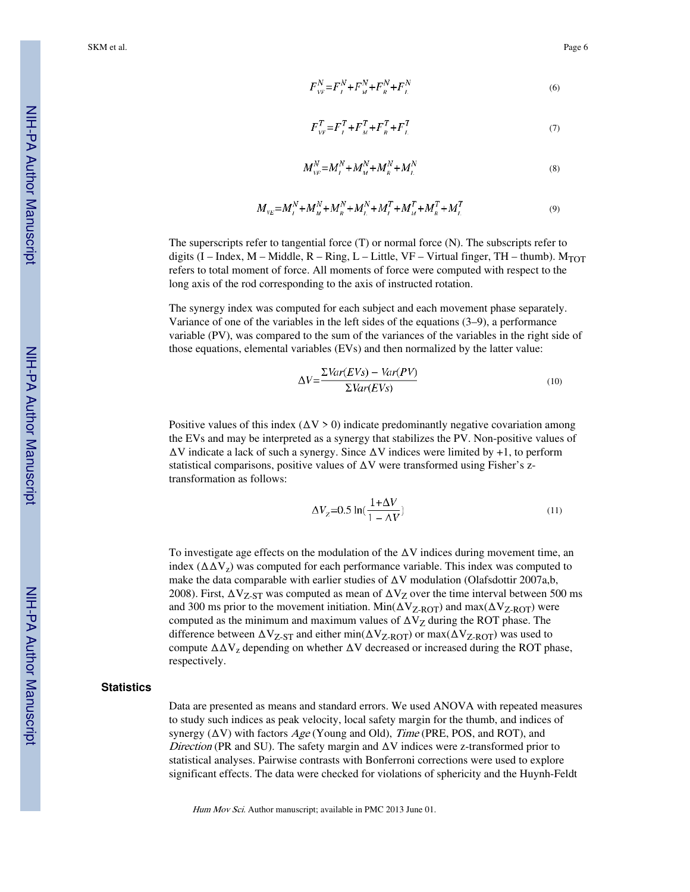SKM et al. Page 6

$$
F_{\nu}^{N} = F_{I}^{N} + F_{M}^{N} + F_{R}^{N} + F_{L}^{N}
$$
\n(6)

$$
F_{vr}^T = F_i^T + F_M^T + F_k^T + F_L^T \tag{7}
$$

$$
M_{vr}^N = M_t^N + M_u^N + M_s^N + M_t^N \tag{8}
$$

$$
M_{VE} = M_{I}^{N} + M_{M}^{N} + M_{R}^{N} + M_{L}^{N} + M_{I}^{T} + M_{M}^{T} + M_{R}^{T} + M_{L}^{T}
$$
 (9)

The superscripts refer to tangential force (T) or normal force (N). The subscripts refer to digits (I – Index, M – Middle,  $R$  – Ring, L – Little, VF – Virtual finger, TH – thumb). M<sub>TOT</sub> refers to total moment of force. All moments of force were computed with respect to the long axis of the rod corresponding to the axis of instructed rotation.

The synergy index was computed for each subject and each movement phase separately. Variance of one of the variables in the left sides of the equations (3–9), a performance variable (PV), was compared to the sum of the variances of the variables in the right side of those equations, elemental variables (EVs) and then normalized by the latter value:

$$
\Delta V = \frac{\Sigma Var(EVs) - Var(PV)}{\Sigma Var(EVs)}
$$
\n(10)

Positive values of this index ( $\Delta V > 0$ ) indicate predominantly negative covariation among the EVs and may be interpreted as a synergy that stabilizes the PV. Non-positive values of  $\Delta V$  indicate a lack of such a synergy. Since  $\Delta V$  indices were limited by +1, to perform statistical comparisons, positive values of ΔV were transformed using Fisher's ztransformation as follows:

$$
\Delta V_{Z} = 0.5 \ln(\frac{1 + \Delta V}{1 - \Delta V})
$$
\n(11)

To investigate age effects on the modulation of the  $\Delta V$  indices during movement time, an index  $( \Delta \Delta V_z)$  was computed for each performance variable. This index was computed to make the data comparable with earlier studies of ΔV modulation (Olafsdottir 2007a,b, 2008). First,  $\Delta V_{Z-ST}$  was computed as mean of  $\Delta V_Z$  over the time interval between 500 ms and 300 ms prior to the movement initiation.  $Min(\Delta V_{Z-ROT})$  and  $max(\Delta V_{Z-ROT})$  were computed as the minimum and maximum values of  $\Delta V_Z$  during the ROT phase. The difference between  $\Delta V_{Z-T}$  and either min( $\Delta V_{Z-ROT}$ ) or max( $\Delta V_{Z-ROT}$ ) was used to compute  $\Delta \Delta V_z$  depending on whether  $\Delta V$  decreased or increased during the ROT phase, respectively.

## **Statistics**

Data are presented as means and standard errors. We used ANOVA with repeated measures to study such indices as peak velocity, local safety margin for the thumb, and indices of synergy  $(\Delta V)$  with factors  $Age$  (Young and Old), *Time* (PRE, POS, and ROT), and Direction (PR and SU). The safety margin and  $\Delta V$  indices were z-transformed prior to statistical analyses. Pairwise contrasts with Bonferroni corrections were used to explore significant effects. The data were checked for violations of sphericity and the Huynh-Feldt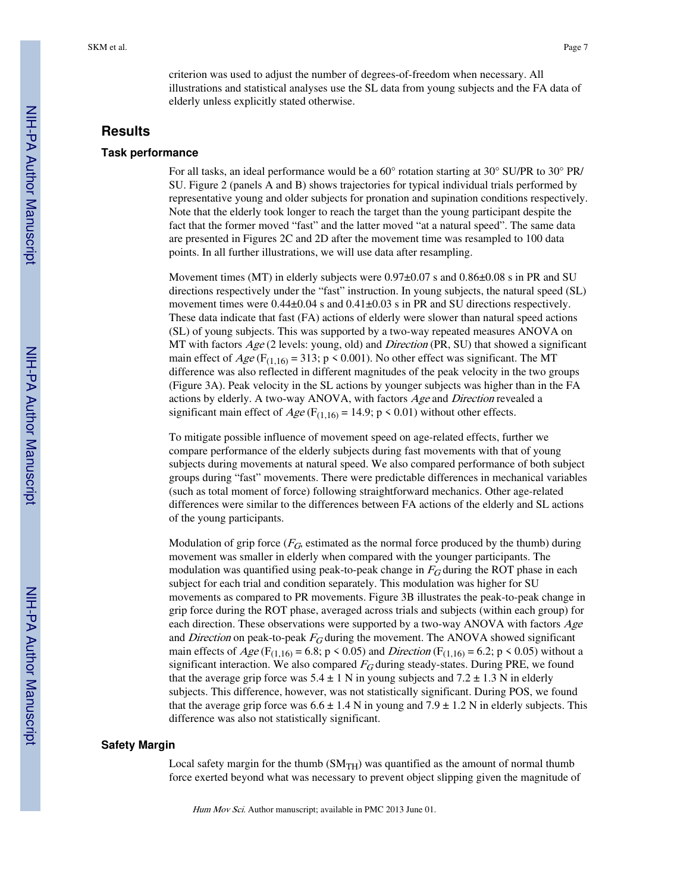criterion was used to adjust the number of degrees-of-freedom when necessary. All illustrations and statistical analyses use the SL data from young subjects and the FA data of elderly unless explicitly stated otherwise.

## **Results**

## **Task performance**

For all tasks, an ideal performance would be a 60° rotation starting at 30° SU/PR to 30° PR/ SU. Figure 2 (panels A and B) shows trajectories for typical individual trials performed by representative young and older subjects for pronation and supination conditions respectively. Note that the elderly took longer to reach the target than the young participant despite the fact that the former moved "fast" and the latter moved "at a natural speed". The same data are presented in Figures 2C and 2D after the movement time was resampled to 100 data points. In all further illustrations, we will use data after resampling.

Movement times (MT) in elderly subjects were 0.97±0.07 s and 0.86±0.08 s in PR and SU directions respectively under the "fast" instruction. In young subjects, the natural speed (SL) movement times were 0.44±0.04 s and 0.41±0.03 s in PR and SU directions respectively. These data indicate that fast (FA) actions of elderly were slower than natural speed actions (SL) of young subjects. This was supported by a two-way repeated measures ANOVA on MT with factors  $Age$  (2 levels: young, old) and *Direction* (PR, SU) that showed a significant main effect of  $Age$  (F<sub>(1,16)</sub> = 313; p < 0.001). No other effect was significant. The MT difference was also reflected in different magnitudes of the peak velocity in the two groups (Figure 3A). Peak velocity in the SL actions by younger subjects was higher than in the FA actions by elderly. A two-way ANOVA, with factors Age and Direction revealed a significant main effect of  $Age$  (F<sub>(1,16)</sub> = 14.9; p < 0.01) without other effects.

To mitigate possible influence of movement speed on age-related effects, further we compare performance of the elderly subjects during fast movements with that of young subjects during movements at natural speed. We also compared performance of both subject groups during "fast" movements. There were predictable differences in mechanical variables (such as total moment of force) following straightforward mechanics. Other age-related differences were similar to the differences between FA actions of the elderly and SL actions of the young participants.

Modulation of grip force ( $F_G$ , estimated as the normal force produced by the thumb) during movement was smaller in elderly when compared with the younger participants. The modulation was quantified using peak-to-peak change in  $F_G$  during the ROT phase in each subject for each trial and condition separately. This modulation was higher for SU movements as compared to PR movements. Figure 3B illustrates the peak-to-peak change in grip force during the ROT phase, averaged across trials and subjects (within each group) for each direction. These observations were supported by a two-way ANOVA with factors Age and *Direction* on peak-to-peak  $F_G$  during the movement. The ANOVA showed significant main effects of  $Age$  (F<sub>(1,16)</sub> = 6.8; p < 0.05) and *Direction* (F<sub>(1,16)</sub> = 6.2; p < 0.05) without a significant interaction. We also compared  $F_G$  during steady-states. During PRE, we found that the average grip force was  $5.4 \pm 1$  N in young subjects and  $7.2 \pm 1.3$  N in elderly subjects. This difference, however, was not statistically significant. During POS, we found that the average grip force was  $6.6 \pm 1.4$  N in young and  $7.9 \pm 1.2$  N in elderly subjects. This difference was also not statistically significant.

#### **Safety Margin**

Local safety margin for the thumb  $(SM_{TH})$  was quantified as the amount of normal thumb force exerted beyond what was necessary to prevent object slipping given the magnitude of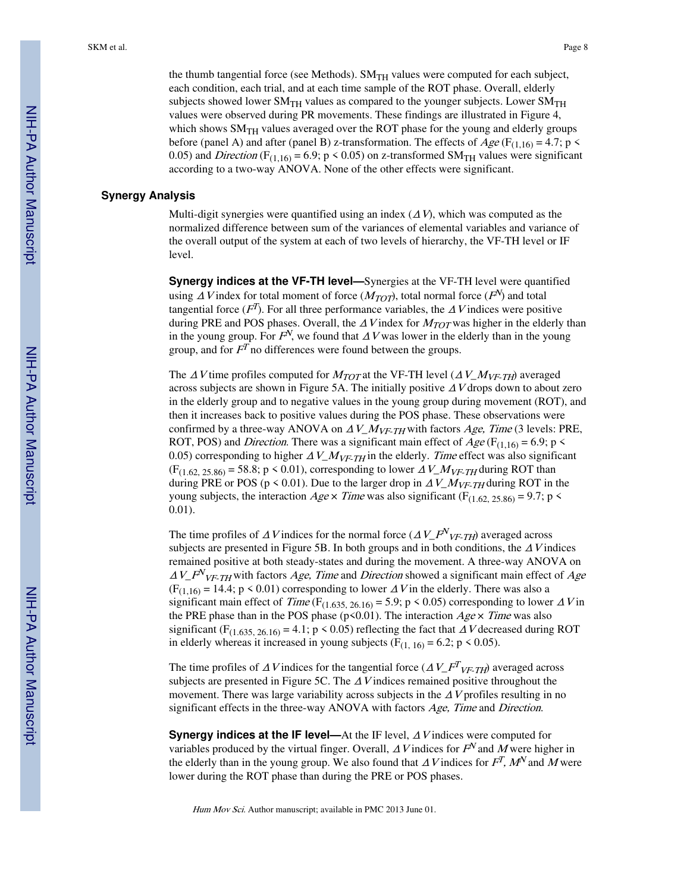the thumb tangential force (see Methods).  $SM_{TH}$  values were computed for each subject, each condition, each trial, and at each time sample of the ROT phase. Overall, elderly subjects showed lower  $SM_{TH}$  values as compared to the younger subjects. Lower  $SM_{TH}$ values were observed during PR movements. These findings are illustrated in Figure 4, which shows  $SM_{TH}$  values averaged over the ROT phase for the young and elderly groups before (panel A) and after (panel B) z-transformation. The effects of  $Age$  (F<sub>(1,16)</sub> = 4.7; p < 0.05) and *Direction* (F<sub>(1,16)</sub> = 6.9; p < 0.05) on z-transformed SM<sub>TH</sub> values were significant according to a two-way ANOVA. None of the other effects were significant.

### **Synergy Analysis**

Multi-digit synergies were quantified using an index  $(\Delta V)$ , which was computed as the normalized difference between sum of the variances of elemental variables and variance of the overall output of the system at each of two levels of hierarchy, the VF-TH level or IF level.

**Synergy indices at the VF-TH level—**Synergies at the VF-TH level were quantified using  $\Delta V$  index for total moment of force  $(M_{TOT})$ , total normal force  $(F<sup>N</sup>)$  and total tangential force ( $F<sup>T</sup>$ ). For all three performance variables, the  $\Delta V$  indices were positive during PRE and POS phases. Overall, the  $\Delta V$  index for  $M_{TOT}$  was higher in the elderly than in the young group. For  $F^N$ , we found that  $\Delta V$  was lower in the elderly than in the young group, and for  $F<sup>T</sup>$  no differences were found between the groups.

The  $\Delta V$  time profiles computed for  $M_{TOT}$  at the VF-TH level ( $\Delta V_{\perp}M_{VF-TH}$ ) averaged across subjects are shown in Figure 5A. The initially positive  $\Delta V$  drops down to about zero in the elderly group and to negative values in the young group during movement (ROT), and then it increases back to positive values during the POS phase. These observations were confirmed by a three-way ANOVA on  $\Delta V_{\perp}M_{V}F_{\perp}TH$  with factors Age, Time (3 levels: PRE, ROT, POS) and *Direction*. There was a significant main effect of  $Age$  (F<sub>(1,16)</sub> = 6.9; p < 0.05) corresponding to higher  $\Delta V_{MVF-TH}$  in the elderly. Time effect was also significant  $(F<sub>(1.62, 25.86)</sub> = 58.8; p < 0.01)$ , corresponding to lower  $\Delta V_M_{VF-TH}$  during ROT than during PRE or POS ( $p \le 0.01$ ). Due to the larger drop in  $\Delta V_{MVF-TH}$  during ROT in the young subjects, the interaction  $Age \times Time$  was also significant (F<sub>(1.62, 25.86)</sub> = 9.7; p < 0.01).

The time profiles of  $\Delta V$  indices for the normal force  $(\Delta V \sqrt{F}^N V F \sqrt{F})$  averaged across subjects are presented in Figure 5B. In both groups and in both conditions, the  $\Delta V$  indices remained positive at both steady-states and during the movement. A three-way ANOVA on  $\Delta V \pm F^N V_{F-TH}$  with factors Age, Time and Direction showed a significant main effect of Age  $(F<sub>(1.16)</sub> = 14.4; p < 0.01)$  corresponding to lower  $\Delta V$  in the elderly. There was also a significant main effect of Time (F<sub>(1.635, 26.16)</sub> = 5.9; p < 0.05) corresponding to lower  $\Delta$  V in the PRE phase than in the POS phase ( $p$ <0.01). The interaction  $Age \times Time$  was also significant (F<sub>(1.635, 26.16)</sub> = 4.1; p < 0.05) reflecting the fact that  $\Delta V$  decreased during ROT in elderly whereas it increased in young subjects ( $F_{(1, 16)} = 6.2$ ; p < 0.05).

The time profiles of  $\Delta V$  indices for the tangential force  $(\Delta V \angle F^T V_{F-TH})$  averaged across subjects are presented in Figure 5C. The  $\Delta V$  indices remained positive throughout the movement. There was large variability across subjects in the  $\Delta V$  profiles resulting in no significant effects in the three-way ANOVA with factors Age, Time and Direction.

**Synergy indices at the IF level—**At the IF level, <sup>Δ</sup>V indices were computed for variables produced by the virtual finger. Overall,  $\Delta V$  indices for  $F<sup>N</sup>$  and M were higher in the elderly than in the young group. We also found that  $\Delta V$  indices for  $F^T$ ,  $M^N$  and  $M$  were lower during the ROT phase than during the PRE or POS phases.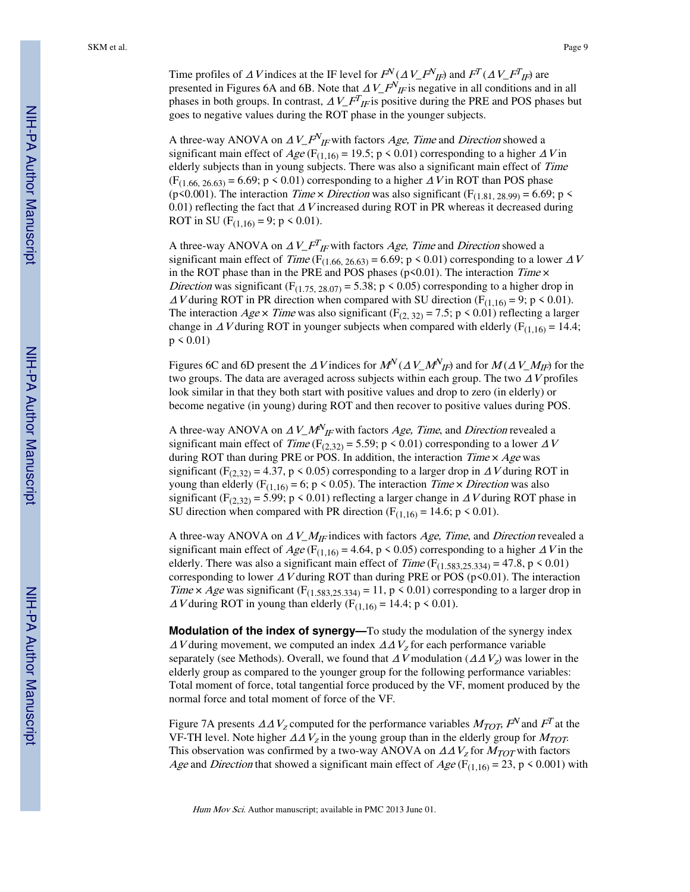Time profiles of  $\Delta V$  indices at the IF level for  $F^V(\Delta V \_{F^V\mu})$  and  $F^T(\Delta V \_{F^T\mu})$  are presented in Figures 6A and 6B. Note that  $\Delta V \llcorner F^N \llbracket F$  is negative in all conditions and in all phases in both groups. In contrast,  $\Delta V \llcorner F \llbracket F \rrbracket$  is positive during the PRE and POS phases but goes to negative values during the ROT phase in the younger subjects.

A three-way ANOVA on  $\Delta V \llcorner F^N \llbracket F \rrbracket$  with factors Age, Time and Direction showed a significant main effect of  $Age$  (F<sub>(1,16)</sub> = 19.5; p < 0.01) corresponding to a higher  $\Delta$  V in elderly subjects than in young subjects. There was also a significant main effect of Time  $(F<sub>(1.66, 26.63)</sub> = 6.69; p < 0.01)$  corresponding to a higher  $\triangle$  V in ROT than POS phase (p<0.001). The interaction *Time* × *Direction* was also significant (F<sub>(1.81, 28.99)</sub> = 6.69; p < 0.01) reflecting the fact that  $\Delta V$  increased during ROT in PR whereas it decreased during ROT in SU ( $F_{(1,16)} = 9$ ; p < 0.01).

A three-way ANOVA on  $\Delta V \llcorner F^T_{\ell}$  with factors *Age, Time* and *Direction* showed a significant main effect of  $Time$  (F<sub>(1.66, 26.63)</sub> = 6.69; p < 0.01) corresponding to a lower  $\Delta V$ in the ROT phase than in the PRE and POS phases ( $p$ <0.01). The interaction Time  $\times$ Direction was significant (F<sub>(1.75, 28.07)</sub> = 5.38; p < 0.05) corresponding to a higher drop in  $\Delta V$  during ROT in PR direction when compared with SU direction (F<sub>(1,16)</sub> = 9; p < 0.01). The interaction  $Age \times Time$  was also significant (F<sub>(2, 32)</sub> = 7.5; p < 0.01) reflecting a larger change in  $\Delta V$  during ROT in younger subjects when compared with elderly (F<sub>(1,16)</sub> = 14.4;  $p < 0.01$ )

Figures 6C and 6D present the  $\Delta V$  indices for  $M^N(\Delta V \Delta M^N)$  and for  $M(\Delta V \Delta M_F)$  for the two groups. The data are averaged across subjects within each group. The two  $\Delta V$  profiles look similar in that they both start with positive values and drop to zero (in elderly) or become negative (in young) during ROT and then recover to positive values during POS.

A three-way ANOVA on  $\Delta V \_{M} N_{IF}$  with factors *Age, Time*, and *Direction* revealed a significant main effect of  $Time (F_{(2,32)} = 5.59; p \le 0.01)$  corresponding to a lower  $\Delta V$ during ROT than during PRE or POS. In addition, the interaction  $Time \times Age$  was significant (F<sub>(2,32)</sub> = 4.37, p < 0.05) corresponding to a larger drop in  $\Delta V$  during ROT in young than elderly ( $F_{(1,16)} = 6$ ; p < 0.05). The interaction *Time* × *Direction* was also significant (F<sub>(2,32)</sub> = 5.99; p < 0.01) reflecting a larger change in  $\Delta V$  during ROT phase in SU direction when compared with PR direction ( $F_{(1,16)} = 14.6$ ; p < 0.01).

A three-way ANOVA on  $\Delta V_{\perp}M_{\parallel}F$  indices with factors Age, Time, and Direction revealed a significant main effect of  $Age$  (F<sub>(1,16)</sub> = 4.64, p < 0.05) corresponding to a higher  $\triangle$  V in the elderly. There was also a significant main effect of  $Time (F<sub>(1.583.25.334)</sub> = 47.8, p < 0.01)$ corresponding to lower  $\Delta V$  during ROT than during PRE or POS (p<0.01). The interaction Time  $\times$  Age was significant (F<sub>(1.583,25,334)</sub> = 11, p < 0.01) corresponding to a larger drop in  $\Delta V$  during ROT in young than elderly (F<sub>(1,16)</sub> = 14.4; p < 0.01).

**Modulation of the index of synergy—**To study the modulation of the synergy index  $\Delta V$  during movement, we computed an index  $\Delta \Delta V_z$  for each performance variable separately (see Methods). Overall, we found that  $\Delta V$  modulation  $(\Delta \Delta V_z)$  was lower in the elderly group as compared to the younger group for the following performance variables: Total moment of force, total tangential force produced by the VF, moment produced by the normal force and total moment of force of the VF.

Figure 7A presents  $\Delta \Delta V_z$  computed for the performance variables  $M_{TOT}$ ,  $F<sup>N</sup>$  and  $F<sup>T</sup>$  at the VF-TH level. Note higher  $\Delta \Delta V_z$  in the young group than in the elderly group for  $M_{TOT}$ . This observation was confirmed by a two-way ANOVA on  $\Delta\Delta V_z$  for  $M_{TOT}$  with factors Age and Direction that showed a significant main effect of  $Age$  (F<sub>(1,16)</sub> = 23, p < 0.001) with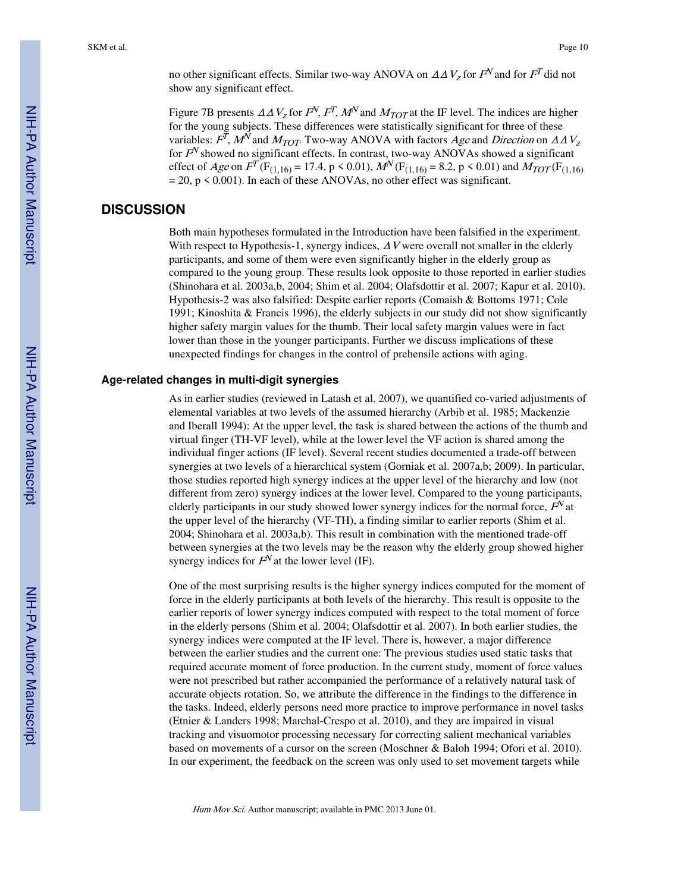no other significant effects. Similar two-way ANOVA on  $\Delta\Delta V_z$  for  $F^V$  and for  $F^T$  did not show any significant effect.

Figure 7B presents  $\Delta \Delta V_z$  for  $F^V$ ,  $F^T$ ,  $M^V$  and  $M_{TOT}$  at the IF level. The indices are higher for the young subjects. These differences were statistically significant for three of these variables:  $F^T$ ,  $M^N$  and  $M_{TOT}$ . Two-way ANOVA with factors  $Age$  and Direction on  $\varDelta A V_z$ for  $F<sup>N</sup>$  showed no significant effects. In contrast, two-way ANOVAs showed a significant effect of *Age* on  $F^T$ (F<sub>(1,16)</sub> = 17.4, p < 0.01),  $M^N$ (F<sub>(1,16)</sub> = 8.2, p < 0.01) and  $M_{TOT}$ (F<sub>(1,16)</sub>  $= 20$ , p < 0.001). In each of these ANOVAs, no other effect was significant.

## **DISCUSSION**

Both main hypotheses formulated in the Introduction have been falsified in the experiment. With respect to Hypothesis-1, synergy indices,  $\Delta V$  were overall not smaller in the elderly participants, and some of them were even significantly higher in the elderly group as compared to the young group. These results look opposite to those reported in earlier studies (Shinohara et al. 2003a,b, 2004; Shim et al. 2004; Olafsdottir et al. 2007; Kapur et al. 2010). Hypothesis-2 was also falsified: Despite earlier reports (Comaish & Bottoms 1971; Cole 1991; Kinoshita & Francis 1996), the elderly subjects in our study did not show significantly higher safety margin values for the thumb. Their local safety margin values were in fact lower than those in the younger participants. Further we discuss implications of these unexpected findings for changes in the control of prehensile actions with aging.

#### **Age-related changes in multi-digit synergies**

As in earlier studies (reviewed in Latash et al. 2007), we quantified co-varied adjustments of elemental variables at two levels of the assumed hierarchy (Arbib et al. 1985; Mackenzie and Iberall 1994): At the upper level, the task is shared between the actions of the thumb and virtual finger (TH-VF level), while at the lower level the VF action is shared among the individual finger actions (IF level). Several recent studies documented a trade-off between synergies at two levels of a hierarchical system (Gorniak et al. 2007a,b; 2009). In particular, those studies reported high synergy indices at the upper level of the hierarchy and low (not different from zero) synergy indices at the lower level. Compared to the young participants, elderly participants in our study showed lower synergy indices for the normal force,  $F<sup>N</sup>$  at the upper level of the hierarchy (VF-TH), a finding similar to earlier reports (Shim et al. 2004; Shinohara et al. 2003a,b). This result in combination with the mentioned trade-off between synergies at the two levels may be the reason why the elderly group showed higher synergy indices for  $F<sup>N</sup>$  at the lower level (IF).

One of the most surprising results is the higher synergy indices computed for the moment of force in the elderly participants at both levels of the hierarchy. This result is opposite to the earlier reports of lower synergy indices computed with respect to the total moment of force in the elderly persons (Shim et al. 2004; Olafsdottir et al. 2007). In both earlier studies, the synergy indices were computed at the IF level. There is, however, a major difference between the earlier studies and the current one: The previous studies used static tasks that required accurate moment of force production. In the current study, moment of force values were not prescribed but rather accompanied the performance of a relatively natural task of accurate objects rotation. So, we attribute the difference in the findings to the difference in the tasks. Indeed, elderly persons need more practice to improve performance in novel tasks (Etnier & Landers 1998; Marchal-Crespo et al. 2010), and they are impaired in visual tracking and visuomotor processing necessary for correcting salient mechanical variables based on movements of a cursor on the screen (Moschner & Baloh 1994; Ofori et al. 2010). In our experiment, the feedback on the screen was only used to set movement targets while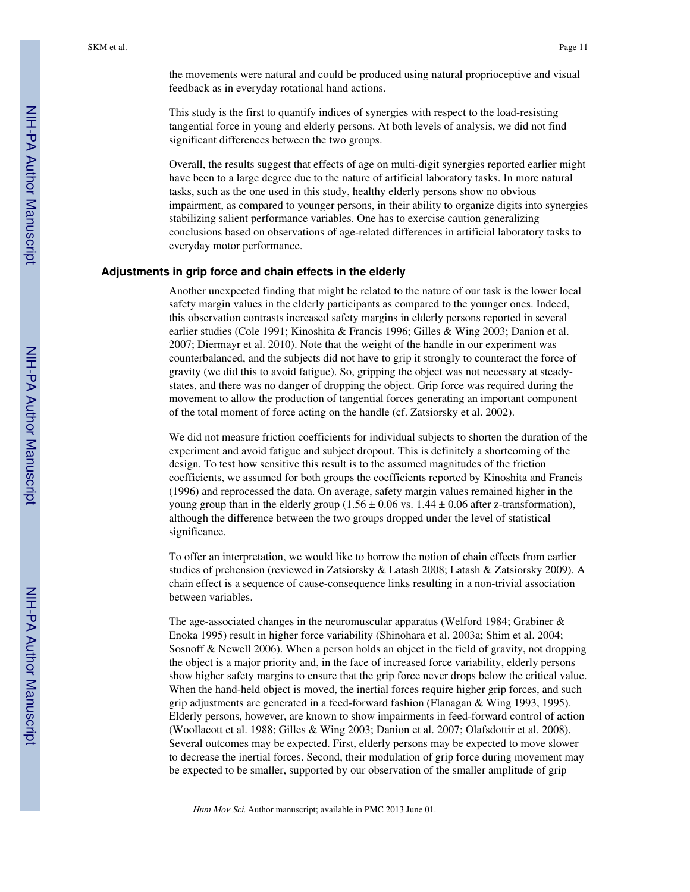the movements were natural and could be produced using natural proprioceptive and visual feedback as in everyday rotational hand actions.

This study is the first to quantify indices of synergies with respect to the load-resisting tangential force in young and elderly persons. At both levels of analysis, we did not find significant differences between the two groups.

Overall, the results suggest that effects of age on multi-digit synergies reported earlier might have been to a large degree due to the nature of artificial laboratory tasks. In more natural tasks, such as the one used in this study, healthy elderly persons show no obvious impairment, as compared to younger persons, in their ability to organize digits into synergies stabilizing salient performance variables. One has to exercise caution generalizing conclusions based on observations of age-related differences in artificial laboratory tasks to everyday motor performance.

## **Adjustments in grip force and chain effects in the elderly**

Another unexpected finding that might be related to the nature of our task is the lower local safety margin values in the elderly participants as compared to the younger ones. Indeed, this observation contrasts increased safety margins in elderly persons reported in several earlier studies (Cole 1991; Kinoshita & Francis 1996; Gilles & Wing 2003; Danion et al. 2007; Diermayr et al. 2010). Note that the weight of the handle in our experiment was counterbalanced, and the subjects did not have to grip it strongly to counteract the force of gravity (we did this to avoid fatigue). So, gripping the object was not necessary at steadystates, and there was no danger of dropping the object. Grip force was required during the movement to allow the production of tangential forces generating an important component of the total moment of force acting on the handle (cf. Zatsiorsky et al. 2002).

We did not measure friction coefficients for individual subjects to shorten the duration of the experiment and avoid fatigue and subject dropout. This is definitely a shortcoming of the design. To test how sensitive this result is to the assumed magnitudes of the friction coefficients, we assumed for both groups the coefficients reported by Kinoshita and Francis (1996) and reprocessed the data. On average, safety margin values remained higher in the young group than in the elderly group  $(1.56 \pm 0.06 \text{ vs. } 1.44 \pm 0.06 \text{ after } z\text{-transformation})$ , although the difference between the two groups dropped under the level of statistical significance.

To offer an interpretation, we would like to borrow the notion of chain effects from earlier studies of prehension (reviewed in Zatsiorsky & Latash 2008; Latash & Zatsiorsky 2009). A chain effect is a sequence of cause-consequence links resulting in a non-trivial association between variables.

The age-associated changes in the neuromuscular apparatus (Welford 1984; Grabiner & Enoka 1995) result in higher force variability (Shinohara et al. 2003a; Shim et al. 2004; Sosnoff & Newell 2006). When a person holds an object in the field of gravity, not dropping the object is a major priority and, in the face of increased force variability, elderly persons show higher safety margins to ensure that the grip force never drops below the critical value. When the hand-held object is moved, the inertial forces require higher grip forces, and such grip adjustments are generated in a feed-forward fashion (Flanagan & Wing 1993, 1995). Elderly persons, however, are known to show impairments in feed-forward control of action (Woollacott et al. 1988; Gilles & Wing 2003; Danion et al. 2007; Olafsdottir et al. 2008). Several outcomes may be expected. First, elderly persons may be expected to move slower to decrease the inertial forces. Second, their modulation of grip force during movement may be expected to be smaller, supported by our observation of the smaller amplitude of grip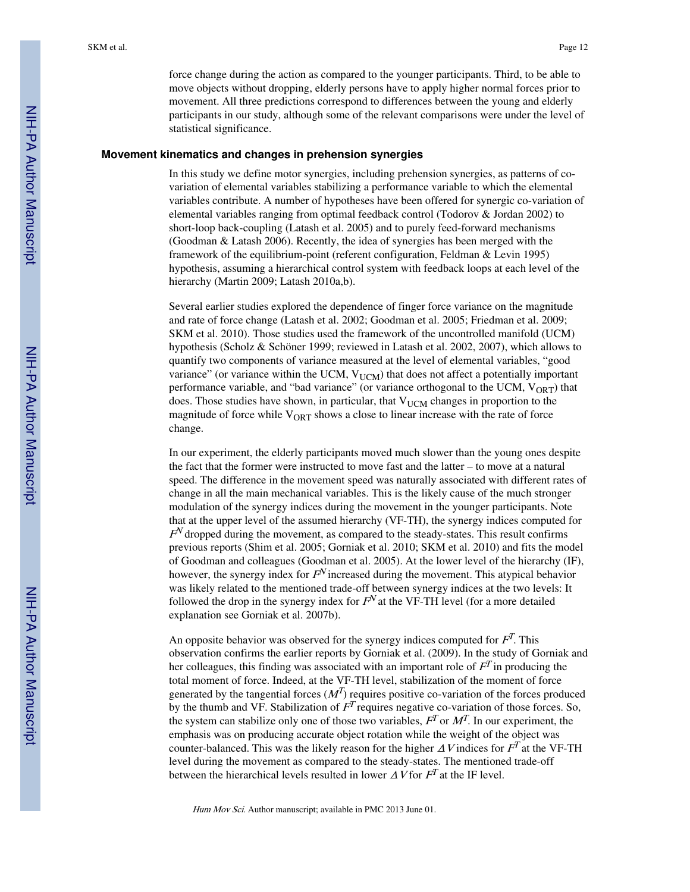force change during the action as compared to the younger participants. Third, to be able to move objects without dropping, elderly persons have to apply higher normal forces prior to movement. All three predictions correspond to differences between the young and elderly participants in our study, although some of the relevant comparisons were under the level of statistical significance.

## **Movement kinematics and changes in prehension synergies**

In this study we define motor synergies, including prehension synergies, as patterns of covariation of elemental variables stabilizing a performance variable to which the elemental variables contribute. A number of hypotheses have been offered for synergic co-variation of elemental variables ranging from optimal feedback control (Todorov & Jordan 2002) to short-loop back-coupling (Latash et al. 2005) and to purely feed-forward mechanisms (Goodman & Latash 2006). Recently, the idea of synergies has been merged with the framework of the equilibrium-point (referent configuration, Feldman & Levin 1995) hypothesis, assuming a hierarchical control system with feedback loops at each level of the hierarchy (Martin 2009; Latash 2010a,b).

Several earlier studies explored the dependence of finger force variance on the magnitude and rate of force change (Latash et al. 2002; Goodman et al. 2005; Friedman et al. 2009; SKM et al. 2010). Those studies used the framework of the uncontrolled manifold (UCM) hypothesis (Scholz & Schöner 1999; reviewed in Latash et al. 2002, 2007), which allows to quantify two components of variance measured at the level of elemental variables, "good variance" (or variance within the UCM,  $V_{UCM}$ ) that does not affect a potentially important performance variable, and "bad variance" (or variance orthogonal to the UCM,  $V_{ORT}$ ) that does. Those studies have shown, in particular, that  $V_{UCM}$  changes in proportion to the magnitude of force while  $V_{ORT}$  shows a close to linear increase with the rate of force change.

In our experiment, the elderly participants moved much slower than the young ones despite the fact that the former were instructed to move fast and the latter – to move at a natural speed. The difference in the movement speed was naturally associated with different rates of change in all the main mechanical variables. This is the likely cause of the much stronger modulation of the synergy indices during the movement in the younger participants. Note that at the upper level of the assumed hierarchy (VF-TH), the synergy indices computed for  $F<sup>N</sup>$  dropped during the movement, as compared to the steady-states. This result confirms previous reports (Shim et al. 2005; Gorniak et al. 2010; SKM et al. 2010) and fits the model of Goodman and colleagues (Goodman et al. 2005). At the lower level of the hierarchy (IF), however, the synergy index for  $F<sup>N</sup>$  increased during the movement. This atypical behavior was likely related to the mentioned trade-off between synergy indices at the two levels: It followed the drop in the synergy index for  $F<sup>N</sup>$  at the VF-TH level (for a more detailed explanation see Gorniak et al. 2007b).

An opposite behavior was observed for the synergy indices computed for  $F<sup>T</sup>$ . This observation confirms the earlier reports by Gorniak et al. (2009). In the study of Gorniak and her colleagues, this finding was associated with an important role of  $F<sup>T</sup>$  in producing the total moment of force. Indeed, at the VF-TH level, stabilization of the moment of force generated by the tangential forces  $(M<sup>T</sup>)$  requires positive co-variation of the forces produced by the thumb and VF. Stabilization of  $F<sup>T</sup>$  requires negative co-variation of those forces. So, the system can stabilize only one of those two variables,  $F<sup>T</sup>$  or  $M<sup>T</sup>$ . In our experiment, the emphasis was on producing accurate object rotation while the weight of the object was counter-balanced. This was the likely reason for the higher  $\Delta V$  indices for  $F<sup>T</sup>$  at the VF-TH level during the movement as compared to the steady-states. The mentioned trade-off between the hierarchical levels resulted in lower  $\Delta V$  for  $F<sup>T</sup>$  at the IF level.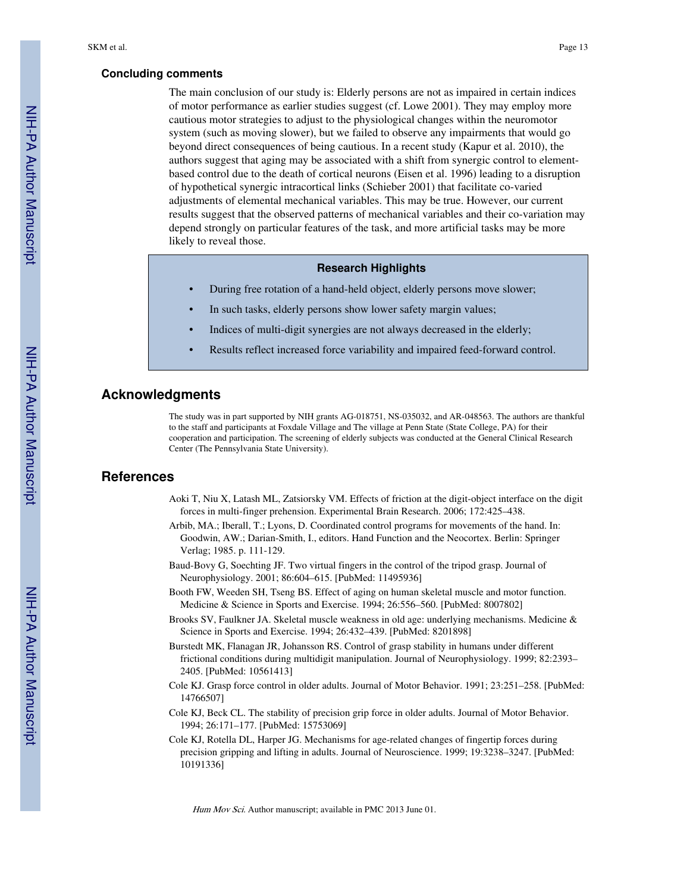#### **Concluding comments**

The main conclusion of our study is: Elderly persons are not as impaired in certain indices of motor performance as earlier studies suggest (cf. Lowe 2001). They may employ more cautious motor strategies to adjust to the physiological changes within the neuromotor system (such as moving slower), but we failed to observe any impairments that would go beyond direct consequences of being cautious. In a recent study (Kapur et al. 2010), the authors suggest that aging may be associated with a shift from synergic control to elementbased control due to the death of cortical neurons (Eisen et al. 1996) leading to a disruption of hypothetical synergic intracortical links (Schieber 2001) that facilitate co-varied adjustments of elemental mechanical variables. This may be true. However, our current results suggest that the observed patterns of mechanical variables and their co-variation may depend strongly on particular features of the task, and more artificial tasks may be more likely to reveal those.

## **Research Highlights**

- **•** During free rotation of a hand-held object, elderly persons move slower;
- **•** In such tasks, elderly persons show lower safety margin values;
- **•** Indices of multi-digit synergies are not always decreased in the elderly;
- **•** Results reflect increased force variability and impaired feed-forward control.

## **Acknowledgments**

The study was in part supported by NIH grants AG-018751, NS-035032, and AR-048563. The authors are thankful to the staff and participants at Foxdale Village and The village at Penn State (State College, PA) for their cooperation and participation. The screening of elderly subjects was conducted at the General Clinical Research Center (The Pennsylvania State University).

## **References**

- Aoki T, Niu X, Latash ML, Zatsiorsky VM. Effects of friction at the digit-object interface on the digit forces in multi-finger prehension. Experimental Brain Research. 2006; 172:425–438.
- Arbib, MA.; Iberall, T.; Lyons, D. Coordinated control programs for movements of the hand. In: Goodwin, AW.; Darian-Smith, I., editors. Hand Function and the Neocortex. Berlin: Springer Verlag; 1985. p. 111-129.
- Baud-Bovy G, Soechting JF. Two virtual fingers in the control of the tripod grasp. Journal of Neurophysiology. 2001; 86:604–615. [PubMed: 11495936]
- Booth FW, Weeden SH, Tseng BS. Effect of aging on human skeletal muscle and motor function. Medicine & Science in Sports and Exercise. 1994; 26:556–560. [PubMed: 8007802]
- Brooks SV, Faulkner JA. Skeletal muscle weakness in old age: underlying mechanisms. Medicine & Science in Sports and Exercise. 1994; 26:432–439. [PubMed: 8201898]
- Burstedt MK, Flanagan JR, Johansson RS. Control of grasp stability in humans under different frictional conditions during multidigit manipulation. Journal of Neurophysiology. 1999; 82:2393– 2405. [PubMed: 10561413]
- Cole KJ. Grasp force control in older adults. Journal of Motor Behavior. 1991; 23:251–258. [PubMed: 14766507]
- Cole KJ, Beck CL. The stability of precision grip force in older adults. Journal of Motor Behavior. 1994; 26:171–177. [PubMed: 15753069]
- Cole KJ, Rotella DL, Harper JG. Mechanisms for age-related changes of fingertip forces during precision gripping and lifting in adults. Journal of Neuroscience. 1999; 19:3238–3247. [PubMed: 10191336]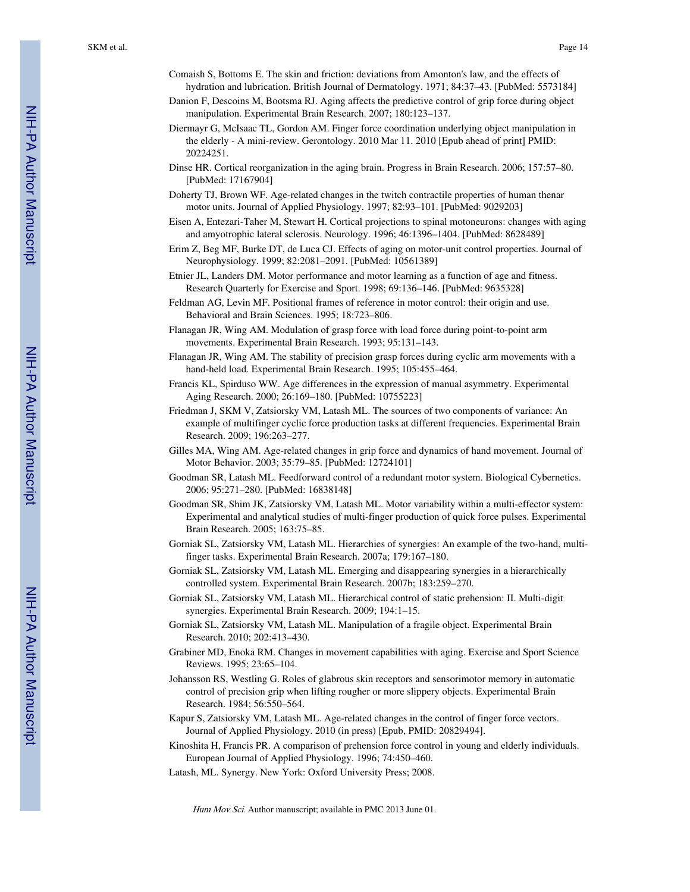- Comaish S, Bottoms E. The skin and friction: deviations from Amonton's law, and the effects of hydration and lubrication. British Journal of Dermatology. 1971; 84:37–43. [PubMed: 5573184]
- Danion F, Descoins M, Bootsma RJ. Aging affects the predictive control of grip force during object manipulation. Experimental Brain Research. 2007; 180:123–137.
- Diermayr G, McIsaac TL, Gordon AM. Finger force coordination underlying object manipulation in the elderly - A mini-review. Gerontology. 2010 Mar 11. 2010 [Epub ahead of print] PMID: 20224251.
- Dinse HR. Cortical reorganization in the aging brain. Progress in Brain Research. 2006; 157:57–80. [PubMed: 17167904]
- Doherty TJ, Brown WF. Age-related changes in the twitch contractile properties of human thenar motor units. Journal of Applied Physiology. 1997; 82:93–101. [PubMed: 9029203]
- Eisen A, Entezari-Taher M, Stewart H. Cortical projections to spinal motoneurons: changes with aging and amyotrophic lateral sclerosis. Neurology. 1996; 46:1396–1404. [PubMed: 8628489]
- Erim Z, Beg MF, Burke DT, de Luca CJ. Effects of aging on motor-unit control properties. Journal of Neurophysiology. 1999; 82:2081–2091. [PubMed: 10561389]
- Etnier JL, Landers DM. Motor performance and motor learning as a function of age and fitness. Research Quarterly for Exercise and Sport. 1998; 69:136–146. [PubMed: 9635328]
- Feldman AG, Levin MF. Positional frames of reference in motor control: their origin and use. Behavioral and Brain Sciences. 1995; 18:723–806.
- Flanagan JR, Wing AM. Modulation of grasp force with load force during point-to-point arm movements. Experimental Brain Research. 1993; 95:131–143.
- Flanagan JR, Wing AM. The stability of precision grasp forces during cyclic arm movements with a hand-held load. Experimental Brain Research. 1995; 105:455–464.
- Francis KL, Spirduso WW. Age differences in the expression of manual asymmetry. Experimental Aging Research. 2000; 26:169–180. [PubMed: 10755223]
- Friedman J, SKM V, Zatsiorsky VM, Latash ML. The sources of two components of variance: An example of multifinger cyclic force production tasks at different frequencies. Experimental Brain Research. 2009; 196:263–277.
- Gilles MA, Wing AM. Age-related changes in grip force and dynamics of hand movement. Journal of Motor Behavior. 2003; 35:79–85. [PubMed: 12724101]
- Goodman SR, Latash ML. Feedforward control of a redundant motor system. Biological Cybernetics. 2006; 95:271–280. [PubMed: 16838148]
- Goodman SR, Shim JK, Zatsiorsky VM, Latash ML. Motor variability within a multi-effector system: Experimental and analytical studies of multi-finger production of quick force pulses. Experimental Brain Research. 2005; 163:75–85.
- Gorniak SL, Zatsiorsky VM, Latash ML. Hierarchies of synergies: An example of the two-hand, multifinger tasks. Experimental Brain Research. 2007a; 179:167–180.
- Gorniak SL, Zatsiorsky VM, Latash ML. Emerging and disappearing synergies in a hierarchically controlled system. Experimental Brain Research. 2007b; 183:259–270.
- Gorniak SL, Zatsiorsky VM, Latash ML. Hierarchical control of static prehension: II. Multi-digit synergies. Experimental Brain Research. 2009; 194:1–15.
- Gorniak SL, Zatsiorsky VM, Latash ML. Manipulation of a fragile object. Experimental Brain Research. 2010; 202:413–430.
- Grabiner MD, Enoka RM. Changes in movement capabilities with aging. Exercise and Sport Science Reviews. 1995; 23:65–104.
- Johansson RS, Westling G. Roles of glabrous skin receptors and sensorimotor memory in automatic control of precision grip when lifting rougher or more slippery objects. Experimental Brain Research. 1984; 56:550–564.
- Kapur S, Zatsiorsky VM, Latash ML. Age-related changes in the control of finger force vectors. Journal of Applied Physiology. 2010 (in press) [Epub, PMID: 20829494].
- Kinoshita H, Francis PR. A comparison of prehension force control in young and elderly individuals. European Journal of Applied Physiology. 1996; 74:450–460.
- Latash, ML. Synergy. New York: Oxford University Press; 2008.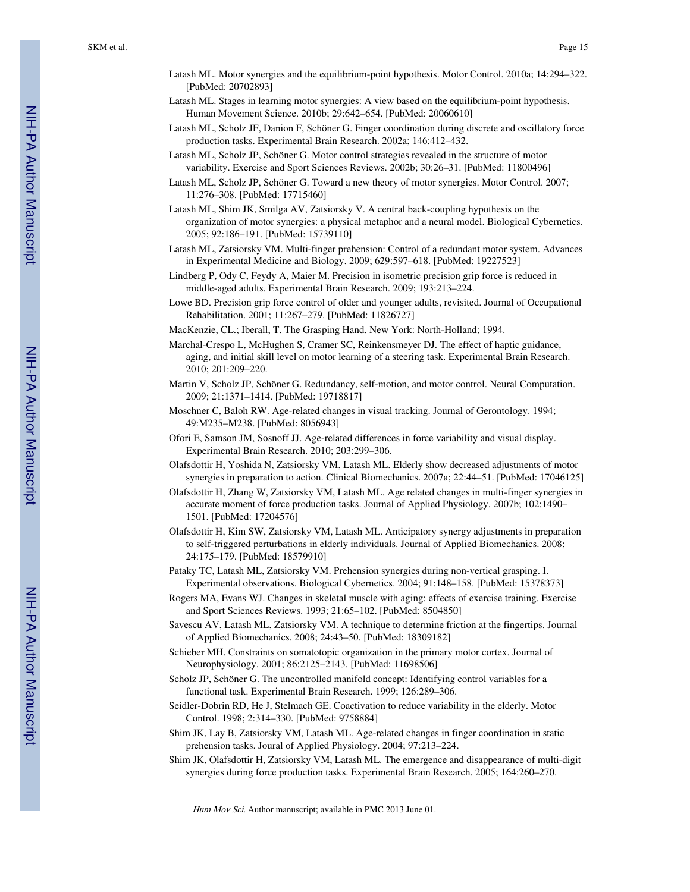SKM et al. Page 15

- Latash ML. Motor synergies and the equilibrium-point hypothesis. Motor Control. 2010a; 14:294–322. [PubMed: 20702893]
- Latash ML. Stages in learning motor synergies: A view based on the equilibrium-point hypothesis. Human Movement Science. 2010b; 29:642–654. [PubMed: 20060610]
- Latash ML, Scholz JF, Danion F, Schöner G. Finger coordination during discrete and oscillatory force production tasks. Experimental Brain Research. 2002a; 146:412–432.
- Latash ML, Scholz JP, Schöner G. Motor control strategies revealed in the structure of motor variability. Exercise and Sport Sciences Reviews. 2002b; 30:26–31. [PubMed: 11800496]
- Latash ML, Scholz JP, Schöner G. Toward a new theory of motor synergies. Motor Control. 2007; 11:276–308. [PubMed: 17715460]
- Latash ML, Shim JK, Smilga AV, Zatsiorsky V. A central back-coupling hypothesis on the organization of motor synergies: a physical metaphor and a neural model. Biological Cybernetics. 2005; 92:186–191. [PubMed: 15739110]
- Latash ML, Zatsiorsky VM. Multi-finger prehension: Control of a redundant motor system. Advances in Experimental Medicine and Biology. 2009; 629:597–618. [PubMed: 19227523]
- Lindberg P, Ody C, Feydy A, Maier M. Precision in isometric precision grip force is reduced in middle-aged adults. Experimental Brain Research. 2009; 193:213–224.
- Lowe BD. Precision grip force control of older and younger adults, revisited. Journal of Occupational Rehabilitation. 2001; 11:267–279. [PubMed: 11826727]
- MacKenzie, CL.; Iberall, T. The Grasping Hand. New York: North-Holland; 1994.
- Marchal-Crespo L, McHughen S, Cramer SC, Reinkensmeyer DJ. The effect of haptic guidance, aging, and initial skill level on motor learning of a steering task. Experimental Brain Research. 2010; 201:209–220.
- Martin V, Scholz JP, Schöner G. Redundancy, self-motion, and motor control. Neural Computation. 2009; 21:1371–1414. [PubMed: 19718817]
- Moschner C, Baloh RW. Age-related changes in visual tracking. Journal of Gerontology. 1994; 49:M235–M238. [PubMed: 8056943]
- Ofori E, Samson JM, Sosnoff JJ. Age-related differences in force variability and visual display. Experimental Brain Research. 2010; 203:299–306.
- Olafsdottir H, Yoshida N, Zatsiorsky VM, Latash ML. Elderly show decreased adjustments of motor synergies in preparation to action. Clinical Biomechanics. 2007a; 22:44–51. [PubMed: 17046125]
- Olafsdottir H, Zhang W, Zatsiorsky VM, Latash ML. Age related changes in multi-finger synergies in accurate moment of force production tasks. Journal of Applied Physiology. 2007b; 102:1490– 1501. [PubMed: 17204576]
- Olafsdottir H, Kim SW, Zatsiorsky VM, Latash ML. Anticipatory synergy adjustments in preparation to self-triggered perturbations in elderly individuals. Journal of Applied Biomechanics. 2008; 24:175–179. [PubMed: 18579910]
- Pataky TC, Latash ML, Zatsiorsky VM. Prehension synergies during non-vertical grasping. I. Experimental observations. Biological Cybernetics. 2004; 91:148–158. [PubMed: 15378373]
- Rogers MA, Evans WJ. Changes in skeletal muscle with aging: effects of exercise training. Exercise and Sport Sciences Reviews. 1993; 21:65–102. [PubMed: 8504850]
- Savescu AV, Latash ML, Zatsiorsky VM. A technique to determine friction at the fingertips. Journal of Applied Biomechanics. 2008; 24:43–50. [PubMed: 18309182]
- Schieber MH. Constraints on somatotopic organization in the primary motor cortex. Journal of Neurophysiology. 2001; 86:2125–2143. [PubMed: 11698506]
- Scholz JP, Schöner G. The uncontrolled manifold concept: Identifying control variables for a functional task. Experimental Brain Research. 1999; 126:289–306.
- Seidler-Dobrin RD, He J, Stelmach GE. Coactivation to reduce variability in the elderly. Motor Control. 1998; 2:314–330. [PubMed: 9758884]
- Shim JK, Lay B, Zatsiorsky VM, Latash ML. Age-related changes in finger coordination in static prehension tasks. Joural of Applied Physiology. 2004; 97:213–224.
- Shim JK, Olafsdottir H, Zatsiorsky VM, Latash ML. The emergence and disappearance of multi-digit synergies during force production tasks. Experimental Brain Research. 2005; 164:260–270.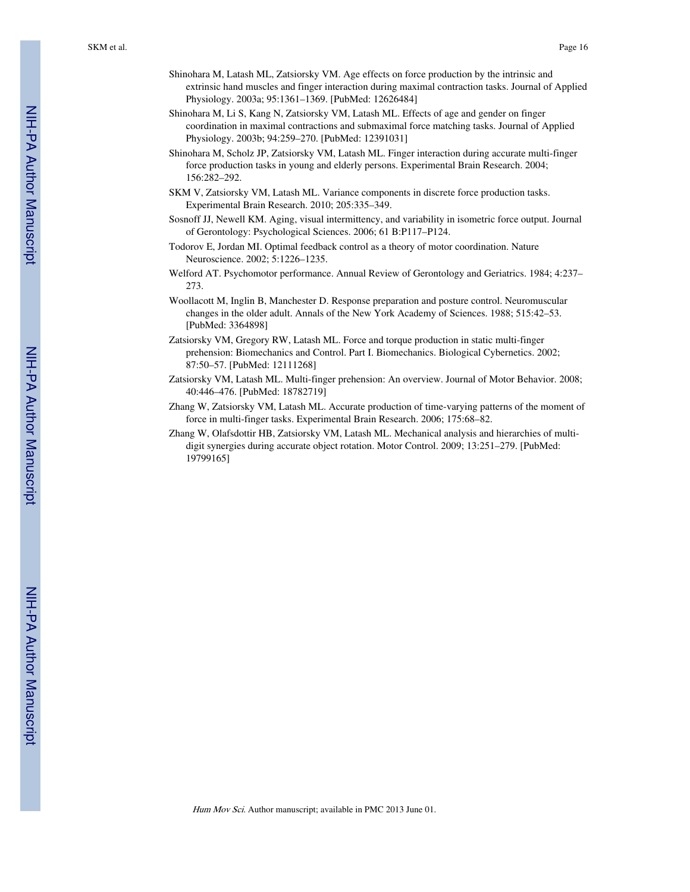- Shinohara M, Latash ML, Zatsiorsky VM. Age effects on force production by the intrinsic and extrinsic hand muscles and finger interaction during maximal contraction tasks. Journal of Applied Physiology. 2003a; 95:1361–1369. [PubMed: 12626484]
- Shinohara M, Li S, Kang N, Zatsiorsky VM, Latash ML. Effects of age and gender on finger coordination in maximal contractions and submaximal force matching tasks. Journal of Applied Physiology. 2003b; 94:259–270. [PubMed: 12391031]
- Shinohara M, Scholz JP, Zatsiorsky VM, Latash ML. Finger interaction during accurate multi-finger force production tasks in young and elderly persons. Experimental Brain Research. 2004; 156:282–292.
- SKM V, Zatsiorsky VM, Latash ML. Variance components in discrete force production tasks. Experimental Brain Research. 2010; 205:335–349.
- Sosnoff JJ, Newell KM. Aging, visual intermittency, and variability in isometric force output. Journal of Gerontology: Psychological Sciences. 2006; 61 B:P117–P124.
- Todorov E, Jordan MI. Optimal feedback control as a theory of motor coordination. Nature Neuroscience. 2002; 5:1226–1235.
- Welford AT. Psychomotor performance. Annual Review of Gerontology and Geriatrics. 1984; 4:237– 273.
- Woollacott M, Inglin B, Manchester D. Response preparation and posture control. Neuromuscular changes in the older adult. Annals of the New York Academy of Sciences. 1988; 515:42–53. [PubMed: 3364898]
- Zatsiorsky VM, Gregory RW, Latash ML. Force and torque production in static multi-finger prehension: Biomechanics and Control. Part I. Biomechanics. Biological Cybernetics. 2002; 87:50–57. [PubMed: 12111268]
- Zatsiorsky VM, Latash ML. Multi-finger prehension: An overview. Journal of Motor Behavior. 2008; 40:446–476. [PubMed: 18782719]
- Zhang W, Zatsiorsky VM, Latash ML. Accurate production of time-varying patterns of the moment of force in multi-finger tasks. Experimental Brain Research. 2006; 175:68–82.
- Zhang W, Olafsdottir HB, Zatsiorsky VM, Latash ML. Mechanical analysis and hierarchies of multidigit synergies during accurate object rotation. Motor Control. 2009; 13:251–279. [PubMed: 19799165]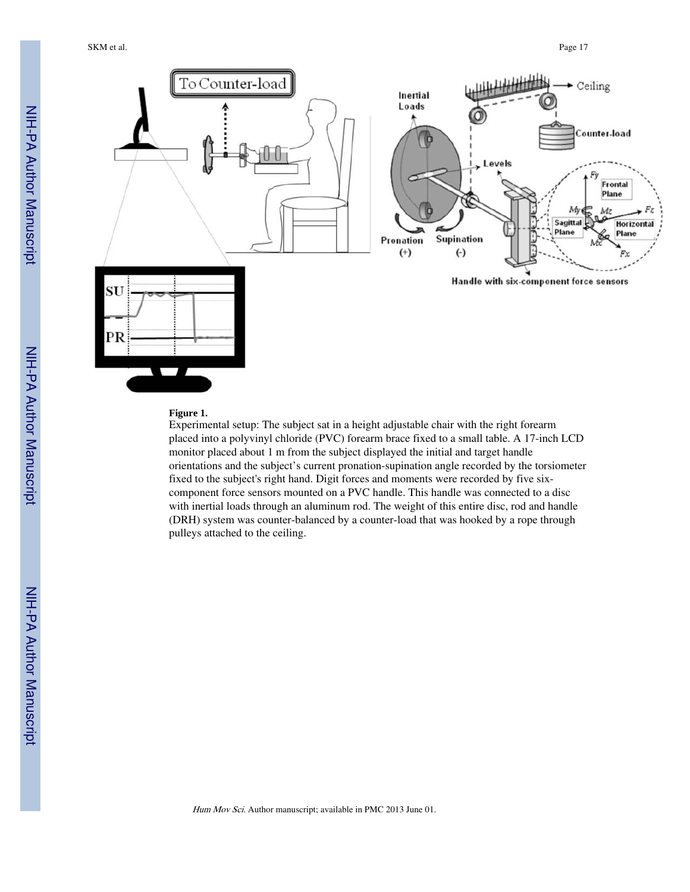SKM et al. Page 17

SU

PR





Handle with six-component force sensors

#### **Figure 1.**

Experimental setup: The subject sat in a height adjustable chair with the right forearm placed into a polyvinyl chloride (PVC) forearm brace fixed to a small table. A 17-inch LCD monitor placed about 1 m from the subject displayed the initial and target handle orientations and the subject's current pronation-supination angle recorded by the torsiometer fixed to the subject's right hand. Digit forces and moments were recorded by five sixcomponent force sensors mounted on a PVC handle. This handle was connected to a disc with inertial loads through an aluminum rod. The weight of this entire disc, rod and handle (DRH) system was counter-balanced by a counter-load that was hooked by a rope through pulleys attached to the ceiling.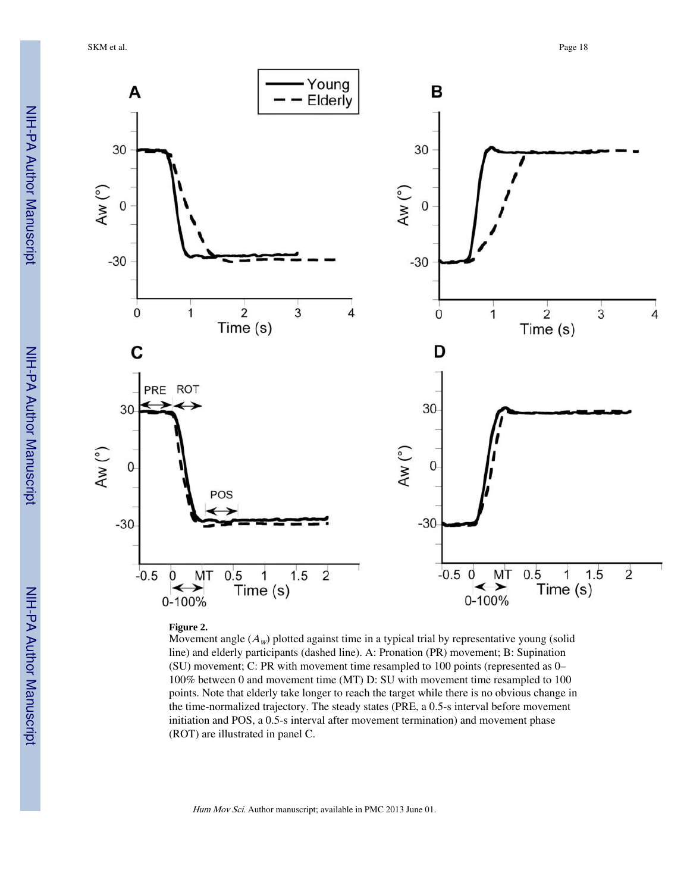SKM et al. Page 18



## **Figure 2.**

Movement angle  $(A_w)$  plotted against time in a typical trial by representative young (solid line) and elderly participants (dashed line). A: Pronation (PR) movement; B: Supination (SU) movement; C: PR with movement time resampled to 100 points (represented as 0– 100% between 0 and movement time (MT) D: SU with movement time resampled to 100 points. Note that elderly take longer to reach the target while there is no obvious change in the time-normalized trajectory. The steady states (PRE, a 0.5-s interval before movement initiation and POS, a 0.5-s interval after movement termination) and movement phase (ROT) are illustrated in panel C.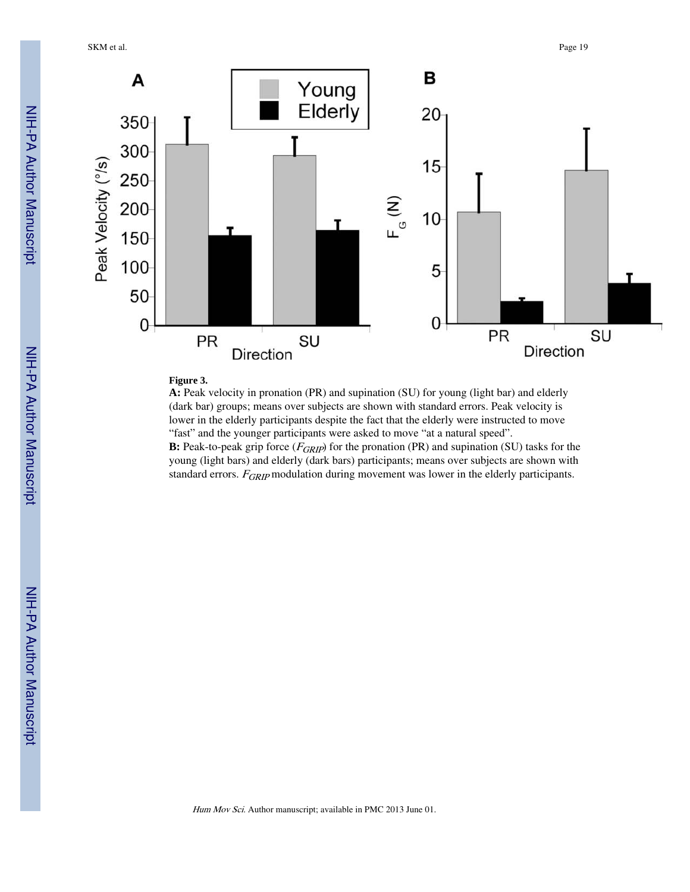SKM et al. Page 19



#### **Figure 3.**

**A:** Peak velocity in pronation (PR) and supination (SU) for young (light bar) and elderly (dark bar) groups; means over subjects are shown with standard errors. Peak velocity is lower in the elderly participants despite the fact that the elderly were instructed to move "fast" and the younger participants were asked to move "at a natural speed".

**B:** Peak-to-peak grip force ( $F_{GRIP}$ ) for the pronation (PR) and supination (SU) tasks for the young (light bars) and elderly (dark bars) participants; means over subjects are shown with standard errors.  $F_{GRIP}$  modulation during movement was lower in the elderly participants.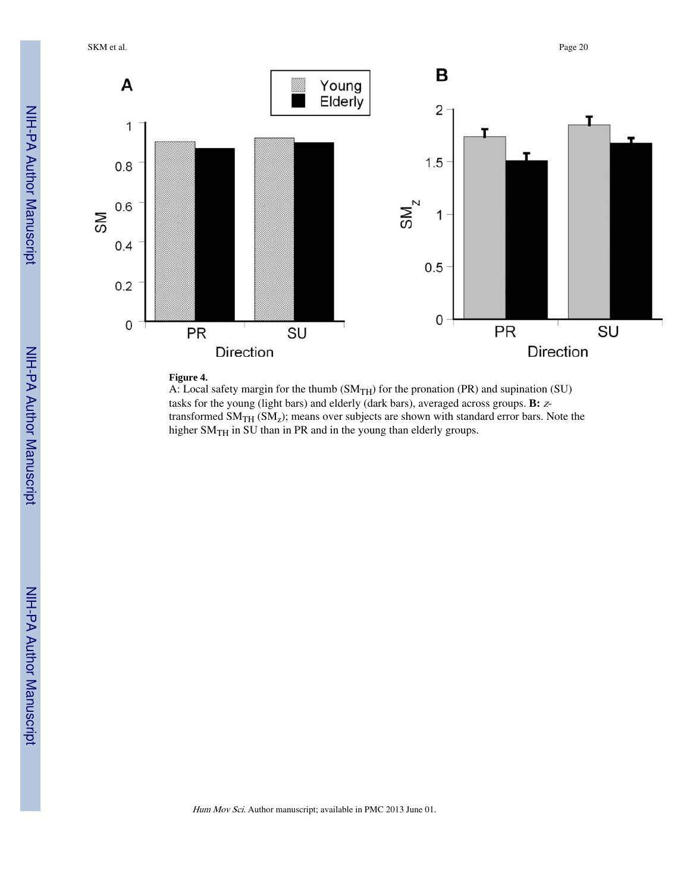SKM et al. Page 20



## **Figure 4.**

A: Local safety margin for the thumb  $(SM_{TH})$  for the pronation (PR) and supination (SU) tasks for the young (light bars) and elderly (dark bars), averaged across groups. **B:** <sup>z</sup>transformed  $SM<sub>TH</sub> (SM<sub>z</sub>)$ ; means over subjects are shown with standard error bars. Note the higher  $SM_{TH}$  in SU than in PR and in the young than elderly groups.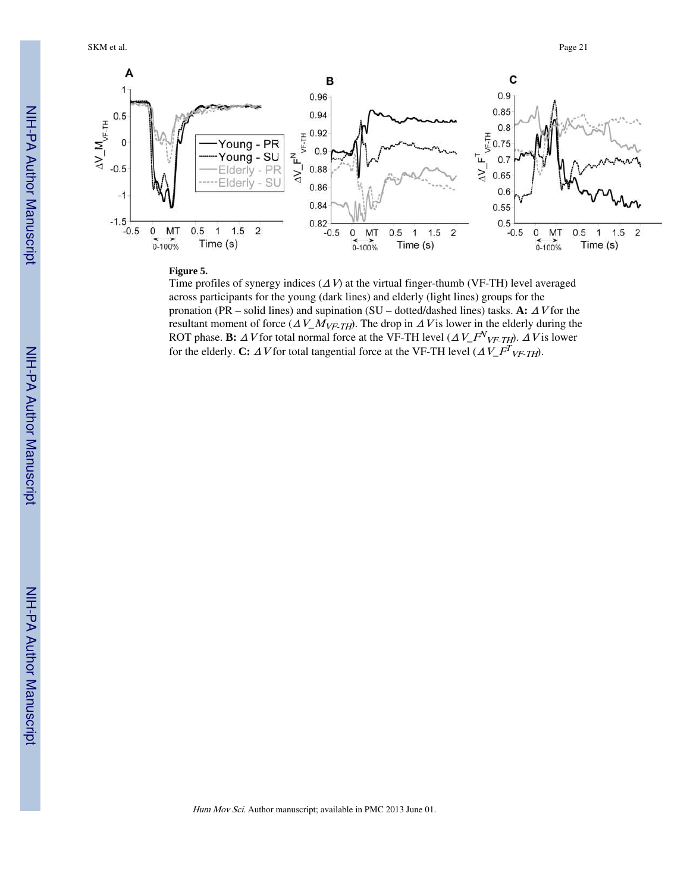SKM et al. Page 21



## **Figure 5.**

Time profiles of synergy indices  $(\Delta V)$  at the virtual finger-thumb (VF-TH) level averaged across participants for the young (dark lines) and elderly (light lines) groups for the pronation (PR – solid lines) and supination (SU – dotted/dashed lines) tasks. **A:** <sup>Δ</sup>V for the resultant moment of force ( $\Delta V_{MVF-TH}$ ). The drop in  $\Delta V$  is lower in the elderly during the ROT phase. **B:**  $\Delta V$  for total normal force at the VF-TH level ( $\Delta V \llap{/} F^{N} \llap{/} V_{F\llap{/}TH}$ ).  $\Delta V$  is lower for the elderly. **C:**  $\Delta V$  for total tangential force at the VF-TH level  $(\Delta V \angle F^T V F \angle TH)$ .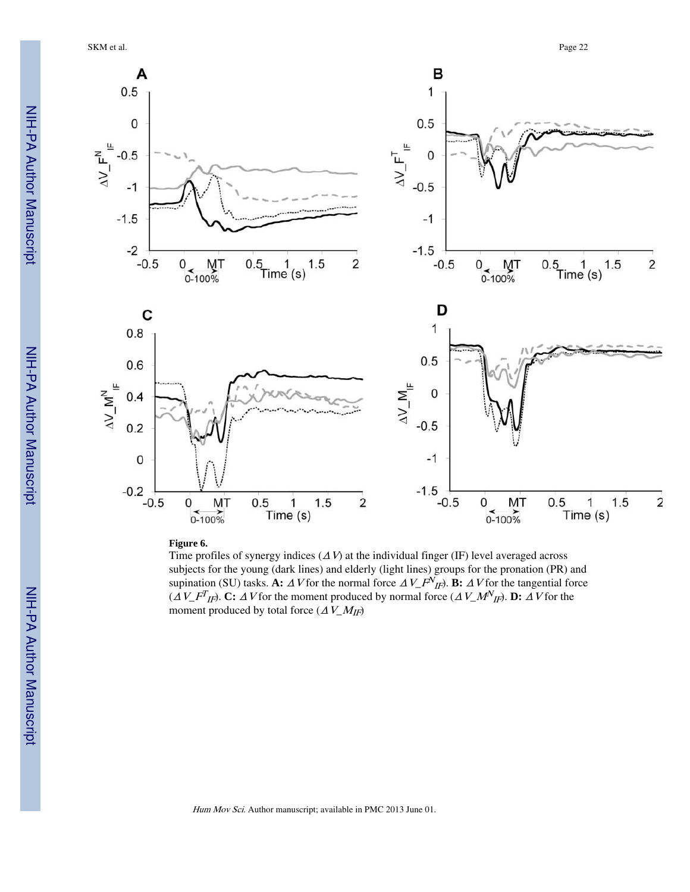SKM et al. Page 22



**Figure 6.**

Time profiles of synergy indices  $(\Delta V)$  at the individual finger (IF) level averaged across subjects for the young (dark lines) and elderly (light lines) groups for the pronation (PR) and supination (SU) tasks. **A:**  $\Delta V$  for the normal force  $\Delta V F Y_{\text{H}}$ . **B:**  $\Delta V$  for the tangential force ( $\Delta V \llcorner F^T_{\phantom{T}H}$ ). C:  $\Delta V$  for the moment produced by normal force ( $\Delta V \llcorner M^N_{\phantom{N}H}$ ). D:  $\Delta V$  for the moment produced by total force  $(\Delta V \Delta M_H)$